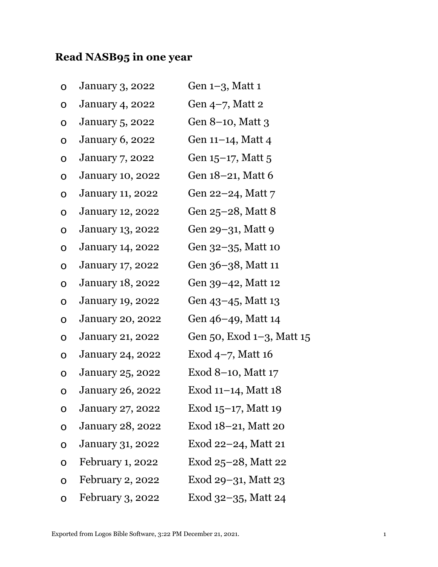## **Read NASB95 in one year**

| O           | <b>January 3, 2022</b>  | Gen 1-3, Matt 1           |
|-------------|-------------------------|---------------------------|
| O           | <b>January 4, 2022</b>  | Gen 4-7, Matt 2           |
| O           | <b>January 5, 2022</b>  | Gen 8–10, Matt 3          |
| O           | <b>January 6, 2022</b>  | Gen 11–14, Matt 4         |
| O           | <b>January 7, 2022</b>  | Gen 15–17, Matt 5         |
| O           | <b>January 10, 2022</b> | Gen 18–21, Matt 6         |
| O           | <b>January 11, 2022</b> | Gen 22–24, Matt 7         |
| $\mathsf O$ | <b>January 12, 2022</b> | Gen 25–28, Matt 8         |
| O           | January 13, 2022        | Gen 29–31, Matt 9         |
| O           | <b>January 14, 2022</b> | Gen 32–35, Matt 10        |
| $\mathbf O$ | January 17, 2022        | Gen 36–38, Matt 11        |
| O           | <b>January 18, 2022</b> | Gen 39–42, Matt 12        |
| O           | <b>January 19, 2022</b> | Gen 43–45, Matt 13        |
| O           | <b>January 20, 2022</b> | Gen 46–49, Matt 14        |
| O           | January 21, 2022        | Gen 50, Exod 1–3, Matt 15 |
| O           | <b>January 24, 2022</b> | Exod $4-7$ , Matt 16      |
| O           | <b>January 25, 2022</b> | Exod $8-10$ , Matt $17$   |
| O           | <b>January 26, 2022</b> | Exod 11-14, Matt 18       |
| O           | <b>January 27, 2022</b> | Exod $15-17$ , Matt 19    |
| O           | <b>January 28, 2022</b> | Exod 18–21, Matt 20       |
| O           | <b>January 31, 2022</b> | Exod $22-24$ , Matt 21    |
| O           | February 1, 2022        | Exod 25–28, Matt 22       |
| O           | February 2, 2022        | Exod 29–31, Matt 23       |
| O           | February 3, 2022        | Exod 32–35, Matt 24       |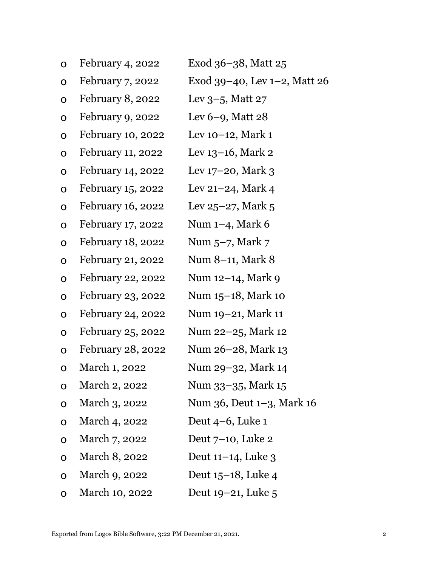| $\mathbf O$  | February 4, 2022  | Exod 36–38, Matt 25             |
|--------------|-------------------|---------------------------------|
| $\mathbf O$  | February 7, 2022  | Exod 39–40, Lev $1-2$ , Matt 26 |
| $\mathbf O$  | February 8, 2022  | Lev $3-5$ , Matt 27             |
| $\mathbf O$  | February 9, 2022  | Lev $6-9$ , Matt 28             |
| $\mathbf O$  | February 10, 2022 | Lev $10-12$ , Mark $1$          |
| $\mathbf O$  | February 11, 2022 | Lev $13-16$ , Mark 2            |
| $\mathbf O$  | February 14, 2022 | Lev $17-20$ , Mark 3            |
| $\mathbf O$  | February 15, 2022 | Lev $21-24$ , Mark 4            |
| $\mathbf O$  | February 16, 2022 | Lev $25-27$ , Mark 5            |
| $\mathbf O$  | February 17, 2022 | Num $1-4$ , Mark 6              |
| $\mathbf O$  | February 18, 2022 | Num $5-7$ , Mark $7$            |
| $\mathbf O$  | February 21, 2022 | Num 8–11, Mark 8                |
| $\mathbf O$  | February 22, 2022 | Num 12–14, Mark 9               |
| $\mathbf O$  | February 23, 2022 | Num 15–18, Mark 10              |
| $\mathbf O$  | February 24, 2022 | Num 19–21, Mark 11              |
| $\mathbf O$  | February 25, 2022 | Num 22–25, Mark 12              |
| $\mathbf O$  | February 28, 2022 | Num 26–28, Mark 13              |
| O            | March 1, 2022     | Num 29–32, Mark 14              |
| $\mathbf O$  | March 2, 2022     | Num 33–35, Mark 15              |
| O            | March 3, 2022     | Num 36, Deut 1–3, Mark 16       |
| O            | March 4, 2022     | Deut $4-6$ , Luke 1             |
| O            | March 7, 2022     | Deut $7-10$ , Luke 2            |
| O            | March 8, 2022     | Deut $11-14$ , Luke 3           |
| O            | March 9, 2022     | Deut $15-18$ , Luke 4           |
| $\mathbf{O}$ | March 10, 2022    | Deut $19-21$ , Luke 5           |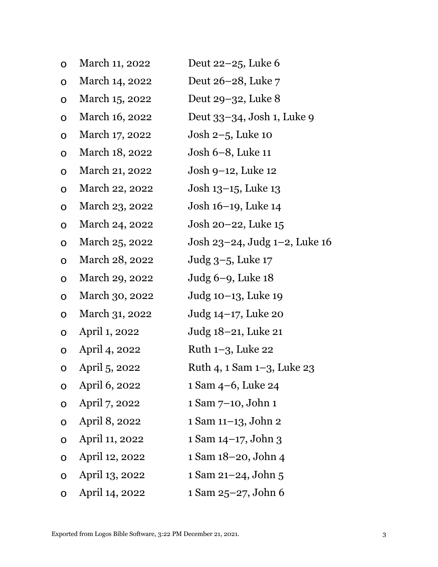| O            | March 11, 2022 | Deut $22-25$ , Luke 6         |
|--------------|----------------|-------------------------------|
| $\mathbf O$  | March 14, 2022 | Deut 26–28, Luke 7            |
| $\mathbf O$  | March 15, 2022 | Deut 29–32, Luke 8            |
| $\mathbf O$  | March 16, 2022 | Deut 33–34, Josh 1, Luke 9    |
| $\mathbf O$  | March 17, 2022 | Josh $2-5$ , Luke 10          |
| $\mathbf O$  | March 18, 2022 | Josh 6–8, Luke 11             |
| $\mathbf O$  | March 21, 2022 | Josh 9–12, Luke 12            |
| $\mathbf O$  | March 22, 2022 | Josh 13–15, Luke 13           |
| $\mathbf O$  | March 23, 2022 | Josh 16–19, Luke 14           |
| $\mathbf O$  | March 24, 2022 | Josh 20–22, Luke 15           |
| $\mathbf O$  | March 25, 2022 | Josh 23–24, Judg 1–2, Luke 16 |
| $\mathbf O$  | March 28, 2022 | Judg 3–5, Luke 17             |
| $\mathbf O$  | March 29, 2022 | Judg 6–9, Luke 18             |
| $\mathbf O$  | March 30, 2022 | Judg 10–13, Luke 19           |
| O            | March 31, 2022 | Judg 14–17, Luke 20           |
| $\mathbf O$  | April 1, 2022  | Judg 18–21, Luke 21           |
| O            | April 4, 2022  | Ruth $1-3$ , Luke 22          |
| $\mathbf O$  | April 5, 2022  | Ruth 4, 1 Sam 1–3, Luke 23    |
| O            | April 6, 2022  | 1 Sam 4–6, Luke 24            |
| O            | April 7, 2022  | 1 Sam 7-10, John 1            |
| O            | April 8, 2022  | 1 Sam 11-13, John 2           |
| O            | April 11, 2022 | 1 Sam 14–17, John 3           |
| O            | April 12, 2022 | 1 Sam 18-20, John 4           |
| $\mathbf O$  | April 13, 2022 | 1 Sam 21–24, John 5           |
| $\mathbf{O}$ | April 14, 2022 | 1 Sam 25-27, John 6           |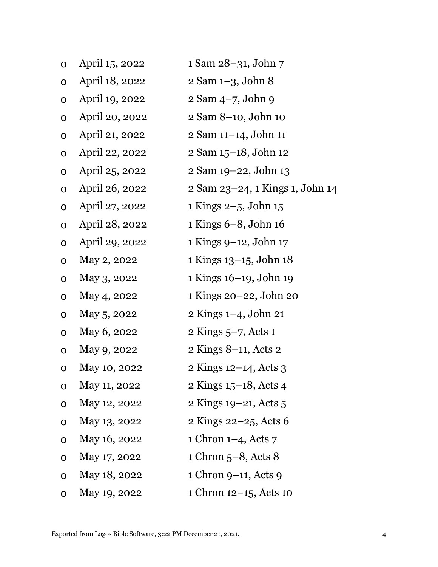| $\mathbf O$ | April 15, 2022 | 1 Sam 28–31, John 7             |
|-------------|----------------|---------------------------------|
| O           | April 18, 2022 | 2 Sam 1-3, John 8               |
| $\mathbf O$ | April 19, 2022 | 2 Sam 4-7, John 9               |
| $\mathbf O$ | April 20, 2022 | 2 Sam 8–10, John 10             |
| $\mathbf O$ | April 21, 2022 | 2 Sam 11-14, John 11            |
| $\mathbf O$ | April 22, 2022 | 2 Sam 15-18, John 12            |
| $\mathbf O$ | April 25, 2022 | 2 Sam 19-22, John 13            |
| $\mathbf O$ | April 26, 2022 | 2 Sam 23–24, 1 Kings 1, John 14 |
| $\mathbf O$ | April 27, 2022 | 1 Kings $2-5$ , John 15         |
| $\mathbf O$ | April 28, 2022 | $1$ Kings $6-8$ , John $16$     |
| $\mathbf O$ | April 29, 2022 | 1 Kings 9-12, John 17           |
| $\mathbf O$ | May 2, 2022    | 1 Kings 13–15, John 18          |
| $\mathbf O$ | May 3, 2022    | 1 Kings 16–19, John 19          |
| O           | May 4, 2022    | 1 Kings 20–22, John 20          |
| $\mathbf O$ | May 5, 2022    | 2 Kings 1–4, John 21            |
| $\mathbf O$ | May 6, 2022    | 2 Kings $5-7$ , Acts 1          |
| $\mathbf O$ | May 9, 2022    | 2 Kings 8–11, Acts 2            |
| O           | May 10, 2022   | 2 Kings 12–14, Acts 3           |
| O           | May 11, 2022   | 2 Kings 15–18, Acts 4           |
| O           | May 12, 2022   | 2 Kings 19–21, Acts 5           |
| $\mathbf O$ | May 13, 2022   | 2 Kings 22–25, Acts 6           |
| O           | May 16, 2022   | 1 Chron $1-4$ , Acts 7          |
| O           | May 17, 2022   | $1$ Chron $5-8$ , Acts $8$      |
| O           | May 18, 2022   | 1 Chron 9–11, Acts 9            |
| O           | May 19, 2022   | 1 Chron 12–15, Acts 10          |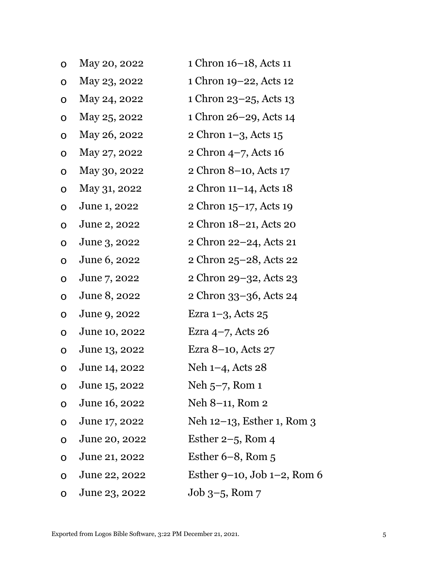| O           | May 20, 2022  | 1 Chron 16–18, Acts 11            |
|-------------|---------------|-----------------------------------|
| O           | May 23, 2022  | 1 Chron 19-22, Acts 12            |
| O           | May 24, 2022  | 1 Chron 23-25, Acts 13            |
| $\mathbf O$ | May 25, 2022  | 1 Chron 26–29, Acts 14            |
| O           | May 26, 2022  | 2 Chron 1-3, Acts 15              |
| O           | May 27, 2022  | 2 Chron 4-7, Acts 16              |
| O           | May 30, 2022  | 2 Chron 8–10, Acts 17             |
| O           | May 31, 2022  | 2 Chron $11-14$ , Acts $18$       |
| O           | June 1, 2022  | 2 Chron 15-17, Acts 19            |
| O           | June 2, 2022  | 2 Chron 18-21, Acts 20            |
| O           | June 3, 2022  | 2 Chron 22–24, Acts 21            |
| O           | June 6, 2022  | 2 Chron 25–28, Acts 22            |
| $\mathbf O$ | June 7, 2022  | 2 Chron 29–32, Acts 23            |
| O           | June 8, 2022  | 2 Chron 33–36, Acts 24            |
| $\mathbf O$ | June 9, 2022  | Ezra $1-3$ , Acts $25$            |
| $\mathbf O$ | June 10, 2022 | Ezra $4-7$ , Acts 26              |
| O           | June 13, 2022 | Ezra 8–10, Acts 27                |
| O           | June 14, 2022 | Neh $1-4$ , Acts 28               |
| O           | June 15, 2022 | Neh $5-7$ , Rom 1                 |
| O           | June 16, 2022 | Neh 8-11, Rom 2                   |
| O           | June 17, 2022 | Neh 12–13, Esther 1, Rom 3        |
| O           | June 20, 2022 | Esther $2-5$ , Rom 4              |
| O           | June 21, 2022 | Esther $6-8$ , Rom $5$            |
| O           | June 22, 2022 | Esther $9-10$ , Job $1-2$ , Rom 6 |
| O           | June 23, 2022 | $Job 3-5$ , Rom $7$               |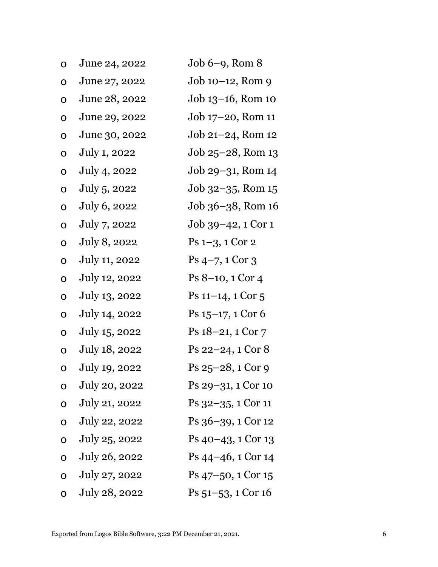| O           | June 24, 2022 | $Job 6-9$ , Rom $8$                       |
|-------------|---------------|-------------------------------------------|
| O           | June 27, 2022 | $Job 10-12$ , Rom 9                       |
| $\mathbf O$ | June 28, 2022 | Job 13–16, Rom 10                         |
| $\mathbf 0$ | June 29, 2022 | Job 17–20, Rom 11                         |
| $\mathbf O$ | June 30, 2022 | $Job 21-24$ , Rom 12                      |
| $\mathbf O$ | July 1, 2022  | Job 25–28, Rom 13                         |
| O           | July 4, 2022  | Job 29–31, Rom 14                         |
| O           | July 5, 2022  | $Job 32-35$ , Rom $15$                    |
| O           | July 6, 2022  | Job 36–38, Rom 16                         |
| O           | July 7, 2022  | Job 39–42, 1 Cor 1                        |
| O           | July 8, 2022  | $Ps$ 1-3, 1 Cor 2                         |
| $\mathbf O$ | July 11, 2022 | $Ps$ 4-7, 1 Cor 3                         |
| $\mathbf O$ | July 12, 2022 | $Ps 8-10, 1 Cor 4$                        |
| O           | July 13, 2022 | $Ps$ 11–14, 1 Cor 5                       |
| $\mathbf O$ | July 14, 2022 | $Ps 15-17, 1 Cor 6$                       |
| $\mathbf O$ | July 15, 2022 | Ps 18–21, 1 Cor 7                         |
| O           | July 18, 2022 | $Ps$ 22–24, 1 Cor $8$                     |
| O           | July 19, 2022 | $Ps 25-28, 1 Cor 9$                       |
| O           | July 20, 2022 | Ps 29-31, 1 Cor 10                        |
| $\mathbf 0$ | July 21, 2022 | $Ps$ 32–35, 1 Cor 11                      |
| $\mathbf 0$ | July 22, 2022 | Ps 36–39, 1 Cor 12                        |
| $\mathbf 0$ | July 25, 2022 | $Ps$ 40–43, 1 Cor 13                      |
| $\mathbf 0$ | July 26, 2022 | $\mathrm{Ps}\,44-46, 1\,\mathrm{Cor}\,14$ |
| $\mathbf O$ | July 27, 2022 | $\mathrm{Ps}\,47$ –50, 1 Cor 15           |
| $\mathbf O$ | July 28, 2022 | Ps 51–53, 1 Cor 16                        |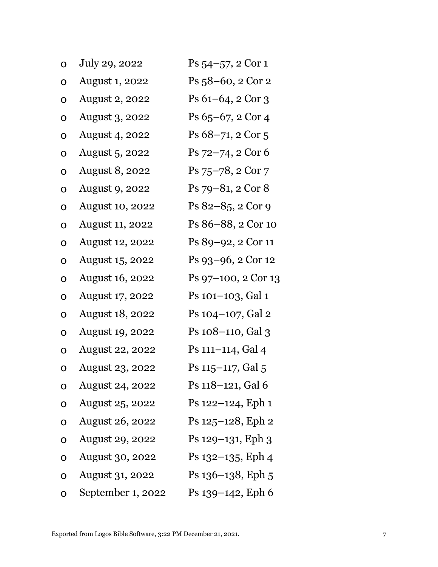| O           | July 29, 2022          | $Ps 54-57, 2 Cor 1$    |
|-------------|------------------------|------------------------|
| O           | <b>August 1, 2022</b>  | $Ps_{58}$ –60, 2 Cor 2 |
| 0           | <b>August 2, 2022</b>  | $Ps 61-64, 2 Cor 3$    |
| O           | <b>August 3, 2022</b>  | Ps 65-67, 2 Cor 4      |
| O           | <b>August 4, 2022</b>  | Ps 68-71, 2 Cor 5      |
| O           | August 5, 2022         | Ps 72-74, 2 Cor 6      |
| O           | <b>August 8, 2022</b>  | $Ps$ 75–78, 2 Cor 7    |
| O           | August 9, 2022         | Ps 79-81, 2 Cor 8      |
| O           | <b>August 10, 2022</b> | $Ps 82-85, 2 Cor 9$    |
| O           | <b>August 11, 2022</b> | Ps 86–88, 2 Cor 10     |
| O           | <b>August 12, 2022</b> | Ps 89–92, 2 Cor 11     |
| O           | August 15, 2022        | Ps 93-96, 2 Cor 12     |
| O           | <b>August 16, 2022</b> | Ps 97–100, 2 Cor 13    |
| O           | August 17, 2022        | Ps 101-103, Gal 1      |
| 0           | <b>August 18, 2022</b> | Ps 104–107, Gal 2      |
| O           | <b>August 19, 2022</b> | Ps 108–110, Gal 3      |
| O           | <b>August 22, 2022</b> | Ps 111-114, Gal 4      |
| O           | August 23, 2022        | Ps 115–117, Gal 5      |
| O           | <b>August 24, 2022</b> | Ps 118-121, Gal 6      |
| O           | <b>August 25, 2022</b> | Ps 122–124, Eph 1      |
| O           | <b>August 26, 2022</b> | Ps 125–128, Eph 2      |
| 0           | <b>August 29, 2022</b> | Ps 129–131, Eph 3      |
| $\mathbf 0$ | <b>August 30, 2022</b> | Ps 132–135, Eph 4      |
| $\mathbf O$ | <b>August 31, 2022</b> | $Ps$ 136–138, Eph 5    |
| O           | September 1, 2022      | Ps 139-142, Eph 6      |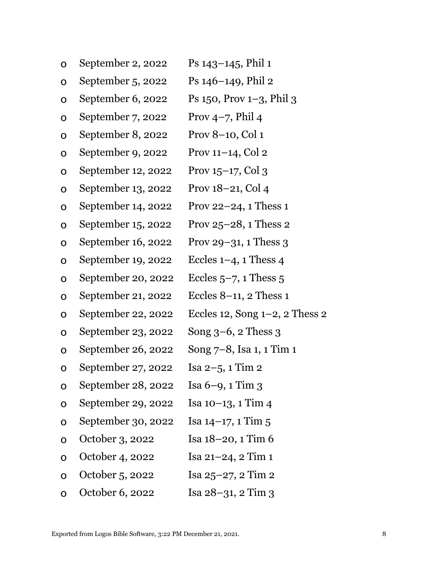| O | September 2, 2022  | Ps $143-145$ , Phil 1             |
|---|--------------------|-----------------------------------|
| O | September 5, 2022  | $Ps$ 146–149, Phil 2              |
| O | September 6, 2022  | Ps $150$ , Prov $1-3$ , Phil $3$  |
| O | September 7, 2022  | Prov $4-7$ , Phil 4               |
| O | September 8, 2022  | Prov 8-10, Col 1                  |
| O | September 9, 2022  | Prov $11-14$ , Col 2              |
| O | September 12, 2022 | Prov $15-17$ , Col 3              |
| O | September 13, 2022 | Prov 18-21, Col 4                 |
| O | September 14, 2022 | Prov 22 $-24$ , 1 Thess 1         |
| O | September 15, 2022 | Prov $25-28$ , 1 Thess 2          |
| O | September 16, 2022 | Prov 29-31, 1 Thess 3             |
| O | September 19, 2022 | Eccles $1-4$ , 1 Thess 4          |
| O | September 20, 2022 | Eccles $5-7$ , 1 Thess $5$        |
| O | September 21, 2022 | Eccles $8-11$ , 2 Thess 1         |
| O | September 22, 2022 | Eccles 12, Song $1-2$ , 2 Thess 2 |
| O | September 23, 2022 | Song $3-6$ , 2 Thess $3$          |
| O | September 26, 2022 | Song 7–8, Isa 1, 1 Tim 1          |
| O | September 27, 2022 | Isa $2-5$ , 1 Tim 2               |
| O | September 28, 2022 | Isa $6-9$ , $1$ Tim $3$           |
| O | September 29, 2022 | Isa 10-13, 1 Tim 4                |
| O | September 30, 2022 | Isa $14-17$ , 1 Tim 5             |
| O | October 3, 2022    | Isa $18-20$ , 1 Tim $6$           |
| O | October 4, 2022    | Isa $21 - 24$ , $2$ Tim 1         |
| O | October 5, 2022    | Isa $25-27$ , 2 Tim 2             |
| O | October 6, 2022    | Isa $28-31$ , $2$ Tim $3$         |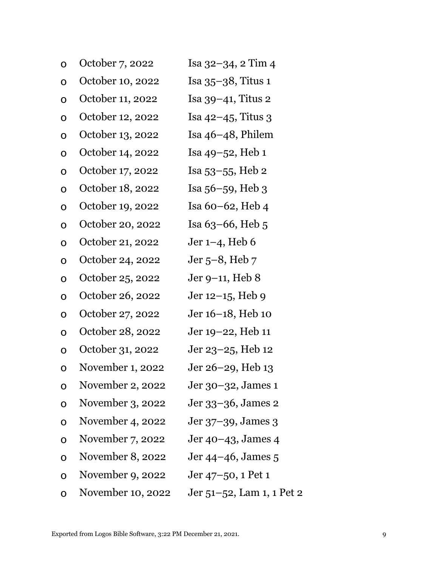| O           | October 7, 2022   | Isa 32–34, 2 Tim 4        |
|-------------|-------------------|---------------------------|
| O           | October 10, 2022  | Isa $35-38$ , Titus 1     |
| O           | October 11, 2022  | Isa 39-41, Titus 2        |
| $\mathbf O$ | October 12, 2022  | Isa $42-45$ , Titus 3     |
| O           | October 13, 2022  | Isa $46-48$ , Philem      |
| O           | October 14, 2022  | Isa $49 - 52$ , Heb 1     |
| O           | October 17, 2022  | Isa 53–55, Heb 2          |
| O           | October 18, 2022  | Isa 56–59, Heb 3          |
| O           | October 19, 2022  | Isa 60–62, Heb $4$        |
| $\mathbf O$ | October 20, 2022  | Isa $63-66$ , Heb $5$     |
| O           | October 21, 2022  | Jer $1-4$ , Heb 6         |
| $\mathbf O$ | October 24, 2022  | Jer $5-8$ , Heb $7$       |
| $\mathbf O$ | October 25, 2022  | Jer 9–11, Heb $8$         |
| $\mathbf O$ | October 26, 2022  | Jer 12–15, Heb 9          |
| $\mathbf O$ | October 27, 2022  | Jer 16–18, Heb 10         |
| O           | October 28, 2022  | Jer 19–22, Heb 11         |
| O           | October 31, 2022  | Jer 23–25, Heb 12         |
| O           | November 1, 2022  | Jer 26–29, Heb 13         |
| O           | November 2, 2022  | Jer 30–32, James 1        |
| O           | November 3, 2022  | Jer 33–36, James 2        |
| O           | November 4, 2022  | Jer 37-39, James 3        |
| O           | November 7, 2022  | Jer 40–43, James 4        |
| O           | November 8, 2022  | Jer 44–46, James 5        |
| O           | November 9, 2022  | Jer 47–50, 1 Pet 1        |
| O           | November 10, 2022 | Jer 51–52, Lam 1, 1 Pet 2 |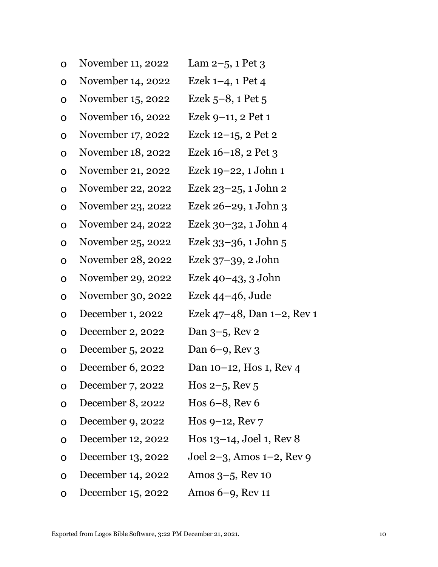| O           | November 11, 2022 | Lam $2-5$ , 1 Pet 3             |
|-------------|-------------------|---------------------------------|
| $\mathbf O$ | November 14, 2022 | Ezek $1-4$ , 1 Pet 4            |
| O           | November 15, 2022 | Ezek $5-8$ , 1 Pet $5$          |
| O           | November 16, 2022 | Ezek 9-11, 2 Pet 1              |
| O           | November 17, 2022 | Ezek 12-15, 2 Pet 2             |
| O           | November 18, 2022 | Ezek 16-18, 2 Pet 3             |
| O           | November 21, 2022 | Ezek 19–22, 1 John 1            |
| O           | November 22, 2022 | Ezek 23–25, 1 John 2            |
| O           | November 23, 2022 | Ezek 26–29, 1 John 3            |
| O           | November 24, 2022 | Ezek 30-32, 1 John 4            |
| O           | November 25, 2022 | Ezek 33-36, 1 John 5            |
| O           | November 28, 2022 | Ezek 37–39, 2 John              |
| O           | November 29, 2022 | Ezek 40–43, 3 John              |
| O           | November 30, 2022 | Ezek $44-46$ , Jude             |
| O           | December 1, 2022  | Ezek 47–48, Dan $1-2$ , Rev 1   |
| O           | December 2, 2022  | Dan 3-5, Rev 2                  |
| O           | December 5, 2022  | Dan $6-9$ , Rev $3$             |
| O           | December 6, 2022  | Dan 10–12, Hos 1, Rev 4         |
| O           | December 7, 2022  | Hos $2-5$ , Rev $5$             |
| O           | December 8, 2022  | Hos $6-8$ , Rev $6$             |
| O           | December 9, 2022  | Hos $9-12$ , Rev $7$            |
| O           | December 12, 2022 | Hos $13-14$ , Joel 1, Rev 8     |
| O           | December 13, 2022 | Joel $2-3$ , Amos $1-2$ , Rev 9 |
| O           | December 14, 2022 | Amos $3-5$ , Rev 10             |
| O           | December 15, 2022 | Amos $6-9$ , Rev 11             |